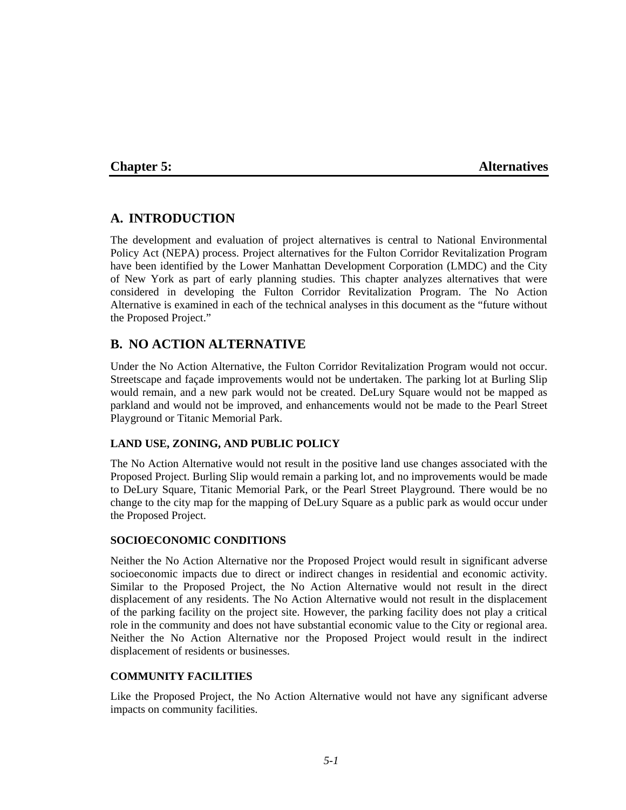# **Chapter 5: Alternatives**

# **A. INTRODUCTION**

The development and evaluation of project alternatives is central to National Environmental Policy Act (NEPA) process. Project alternatives for the Fulton Corridor Revitalization Program have been identified by the Lower Manhattan Development Corporation (LMDC) and the City of New York as part of early planning studies. This chapter analyzes alternatives that were considered in developing the Fulton Corridor Revitalization Program. The No Action Alternative is examined in each of the technical analyses in this document as the "future without the Proposed Project."

# **B. NO ACTION ALTERNATIVE**

Under the No Action Alternative, the Fulton Corridor Revitalization Program would not occur. Streetscape and façade improvements would not be undertaken. The parking lot at Burling Slip would remain, and a new park would not be created. DeLury Square would not be mapped as parkland and would not be improved, and enhancements would not be made to the Pearl Street Playground or Titanic Memorial Park.

# **LAND USE, ZONING, AND PUBLIC POLICY**

The No Action Alternative would not result in the positive land use changes associated with the Proposed Project. Burling Slip would remain a parking lot, and no improvements would be made to DeLury Square, Titanic Memorial Park, or the Pearl Street Playground. There would be no change to the city map for the mapping of DeLury Square as a public park as would occur under the Proposed Project.

# **SOCIOECONOMIC CONDITIONS**

Neither the No Action Alternative nor the Proposed Project would result in significant adverse socioeconomic impacts due to direct or indirect changes in residential and economic activity. Similar to the Proposed Project, the No Action Alternative would not result in the direct displacement of any residents. The No Action Alternative would not result in the displacement of the parking facility on the project site. However, the parking facility does not play a critical role in the community and does not have substantial economic value to the City or regional area. Neither the No Action Alternative nor the Proposed Project would result in the indirect displacement of residents or businesses.

# **COMMUNITY FACILITIES**

Like the Proposed Project, the No Action Alternative would not have any significant adverse impacts on community facilities.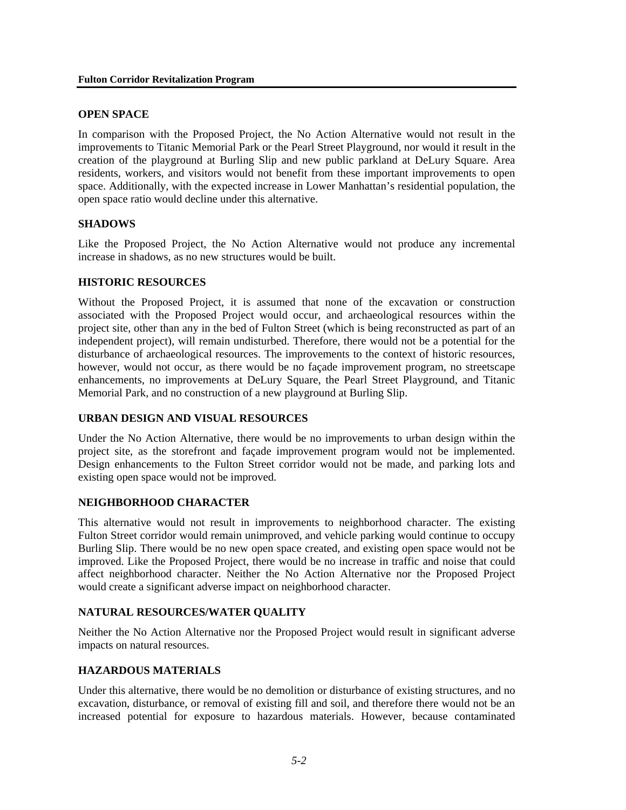## **OPEN SPACE**

In comparison with the Proposed Project, the No Action Alternative would not result in the improvements to Titanic Memorial Park or the Pearl Street Playground, nor would it result in the creation of the playground at Burling Slip and new public parkland at DeLury Square. Area residents, workers, and visitors would not benefit from these important improvements to open space. Additionally, with the expected increase in Lower Manhattan's residential population, the open space ratio would decline under this alternative.

## **SHADOWS**

Like the Proposed Project, the No Action Alternative would not produce any incremental increase in shadows, as no new structures would be built.

## **HISTORIC RESOURCES**

Without the Proposed Project, it is assumed that none of the excavation or construction associated with the Proposed Project would occur, and archaeological resources within the project site, other than any in the bed of Fulton Street (which is being reconstructed as part of an independent project), will remain undisturbed. Therefore, there would not be a potential for the disturbance of archaeological resources. The improvements to the context of historic resources, however, would not occur, as there would be no façade improvement program, no streetscape enhancements, no improvements at DeLury Square, the Pearl Street Playground, and Titanic Memorial Park, and no construction of a new playground at Burling Slip.

# **URBAN DESIGN AND VISUAL RESOURCES**

Under the No Action Alternative, there would be no improvements to urban design within the project site, as the storefront and façade improvement program would not be implemented. Design enhancements to the Fulton Street corridor would not be made, and parking lots and existing open space would not be improved.

# **NEIGHBORHOOD CHARACTER**

This alternative would not result in improvements to neighborhood character. The existing Fulton Street corridor would remain unimproved, and vehicle parking would continue to occupy Burling Slip. There would be no new open space created, and existing open space would not be improved. Like the Proposed Project, there would be no increase in traffic and noise that could affect neighborhood character. Neither the No Action Alternative nor the Proposed Project would create a significant adverse impact on neighborhood character.

### **NATURAL RESOURCES/WATER QUALITY**

Neither the No Action Alternative nor the Proposed Project would result in significant adverse impacts on natural resources.

# **HAZARDOUS MATERIALS**

Under this alternative, there would be no demolition or disturbance of existing structures, and no excavation, disturbance, or removal of existing fill and soil, and therefore there would not be an increased potential for exposure to hazardous materials. However, because contaminated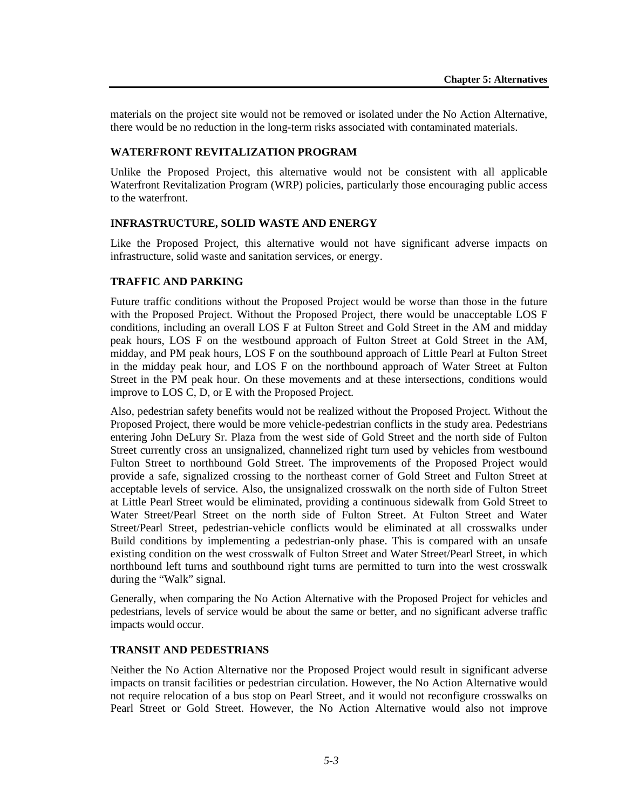materials on the project site would not be removed or isolated under the No Action Alternative, there would be no reduction in the long-term risks associated with contaminated materials.

# **WATERFRONT REVITALIZATION PROGRAM**

Unlike the Proposed Project, this alternative would not be consistent with all applicable Waterfront Revitalization Program (WRP) policies, particularly those encouraging public access to the waterfront.

# **INFRASTRUCTURE, SOLID WASTE AND ENERGY**

Like the Proposed Project, this alternative would not have significant adverse impacts on infrastructure, solid waste and sanitation services, or energy.

# **TRAFFIC AND PARKING**

Future traffic conditions without the Proposed Project would be worse than those in the future with the Proposed Project. Without the Proposed Project, there would be unacceptable LOS F conditions, including an overall LOS F at Fulton Street and Gold Street in the AM and midday peak hours, LOS F on the westbound approach of Fulton Street at Gold Street in the AM, midday, and PM peak hours, LOS F on the southbound approach of Little Pearl at Fulton Street in the midday peak hour, and LOS F on the northbound approach of Water Street at Fulton Street in the PM peak hour. On these movements and at these intersections, conditions would improve to LOS C, D, or E with the Proposed Project.

Also, pedestrian safety benefits would not be realized without the Proposed Project. Without the Proposed Project, there would be more vehicle-pedestrian conflicts in the study area. Pedestrians entering John DeLury Sr. Plaza from the west side of Gold Street and the north side of Fulton Street currently cross an unsignalized, channelized right turn used by vehicles from westbound Fulton Street to northbound Gold Street. The improvements of the Proposed Project would provide a safe, signalized crossing to the northeast corner of Gold Street and Fulton Street at acceptable levels of service. Also, the unsignalized crosswalk on the north side of Fulton Street at Little Pearl Street would be eliminated, providing a continuous sidewalk from Gold Street to Water Street/Pearl Street on the north side of Fulton Street. At Fulton Street and Water Street/Pearl Street, pedestrian-vehicle conflicts would be eliminated at all crosswalks under Build conditions by implementing a pedestrian-only phase. This is compared with an unsafe existing condition on the west crosswalk of Fulton Street and Water Street/Pearl Street, in which northbound left turns and southbound right turns are permitted to turn into the west crosswalk during the "Walk" signal.

Generally, when comparing the No Action Alternative with the Proposed Project for vehicles and pedestrians, levels of service would be about the same or better, and no significant adverse traffic impacts would occur.

# **TRANSIT AND PEDESTRIANS**

Neither the No Action Alternative nor the Proposed Project would result in significant adverse impacts on transit facilities or pedestrian circulation. However, the No Action Alternative would not require relocation of a bus stop on Pearl Street, and it would not reconfigure crosswalks on Pearl Street or Gold Street. However, the No Action Alternative would also not improve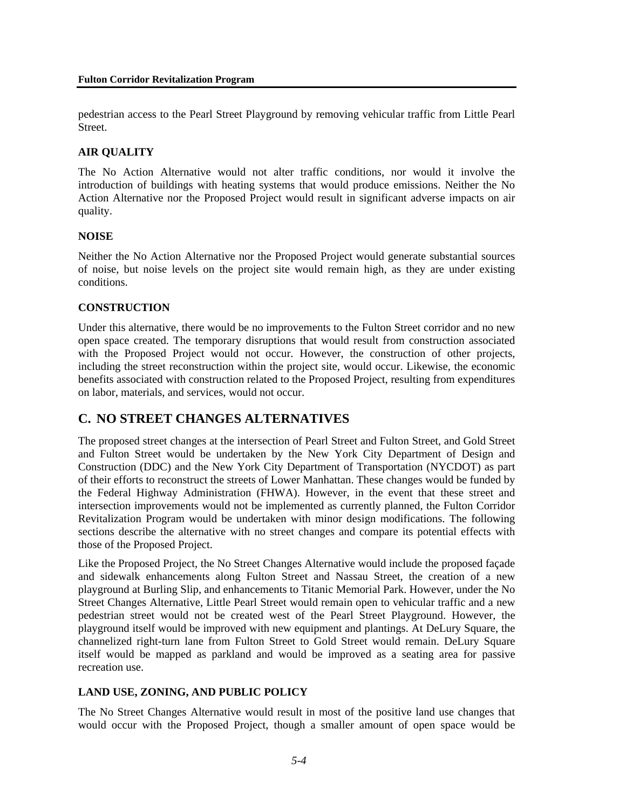pedestrian access to the Pearl Street Playground by removing vehicular traffic from Little Pearl **Street** 

# **AIR QUALITY**

The No Action Alternative would not alter traffic conditions, nor would it involve the introduction of buildings with heating systems that would produce emissions. Neither the No Action Alternative nor the Proposed Project would result in significant adverse impacts on air quality.

# **NOISE**

Neither the No Action Alternative nor the Proposed Project would generate substantial sources of noise, but noise levels on the project site would remain high, as they are under existing conditions.

# **CONSTRUCTION**

Under this alternative, there would be no improvements to the Fulton Street corridor and no new open space created. The temporary disruptions that would result from construction associated with the Proposed Project would not occur. However, the construction of other projects, including the street reconstruction within the project site, would occur. Likewise, the economic benefits associated with construction related to the Proposed Project, resulting from expenditures on labor, materials, and services, would not occur.

# **C. NO STREET CHANGES ALTERNATIVES**

The proposed street changes at the intersection of Pearl Street and Fulton Street, and Gold Street and Fulton Street would be undertaken by the New York City Department of Design and Construction (DDC) and the New York City Department of Transportation (NYCDOT) as part of their efforts to reconstruct the streets of Lower Manhattan. These changes would be funded by the Federal Highway Administration (FHWA). However, in the event that these street and intersection improvements would not be implemented as currently planned, the Fulton Corridor Revitalization Program would be undertaken with minor design modifications. The following sections describe the alternative with no street changes and compare its potential effects with those of the Proposed Project.

Like the Proposed Project, the No Street Changes Alternative would include the proposed façade and sidewalk enhancements along Fulton Street and Nassau Street, the creation of a new playground at Burling Slip, and enhancements to Titanic Memorial Park. However, under the No Street Changes Alternative, Little Pearl Street would remain open to vehicular traffic and a new pedestrian street would not be created west of the Pearl Street Playground. However, the playground itself would be improved with new equipment and plantings. At DeLury Square, the channelized right-turn lane from Fulton Street to Gold Street would remain. DeLury Square itself would be mapped as parkland and would be improved as a seating area for passive recreation use.

# **LAND USE, ZONING, AND PUBLIC POLICY**

The No Street Changes Alternative would result in most of the positive land use changes that would occur with the Proposed Project, though a smaller amount of open space would be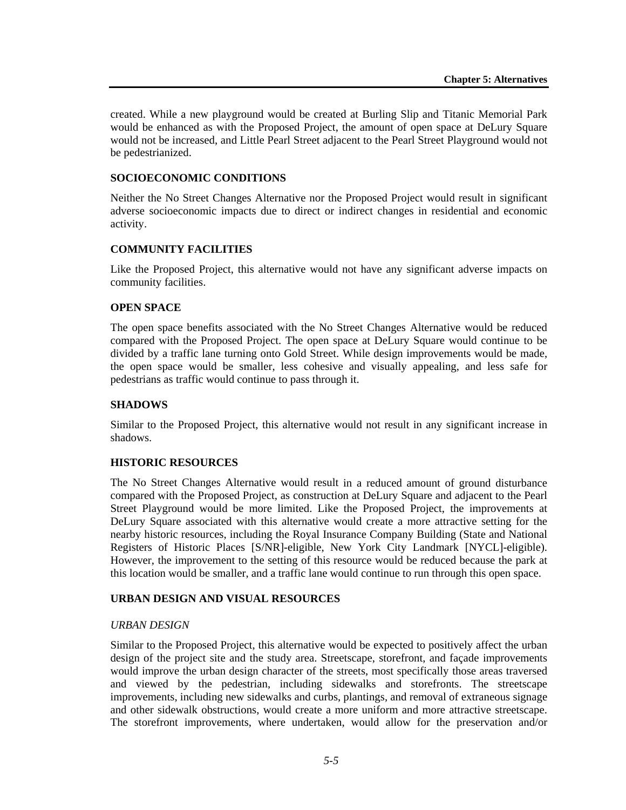created. While a new playground would be created at Burling Slip and Titanic Memorial Park would be enhanced as with the Proposed Project, the amount of open space at DeLury Square would not be increased, and Little Pearl Street adjacent to the Pearl Street Playground would not be pedestrianized.

# **SOCIOECONOMIC CONDITIONS**

Neither the No Street Changes Alternative nor the Proposed Project would result in significant adverse socioeconomic impacts due to direct or indirect changes in residential and economic activity.

## **COMMUNITY FACILITIES**

Like the Proposed Project, this alternative would not have any significant adverse impacts on community facilities.

### **OPEN SPACE**

The open space benefits associated with the No Street Changes Alternative would be reduced compared with the Proposed Project. The open space at DeLury Square would continue to be divided by a traffic lane turning onto Gold Street. While design improvements would be made, the open space would be smaller, less cohesive and visually appealing, and less safe for pedestrians as traffic would continue to pass through it.

## **SHADOWS**

Similar to the Proposed Project, this alternative would not result in any significant increase in shadows.

## **HISTORIC RESOURCES**

The No Street Changes Alternative would result in a reduced amount of ground disturbance compared with the Proposed Project, as construction at DeLury Square and adjacent to the Pearl Street Playground would be more limited. Like the Proposed Project, the improvements at DeLury Square associated with this alternative would create a more attractive setting for the nearby historic resources, including the Royal Insurance Company Building (State and National Registers of Historic Places [S/NR]-eligible, New York City Landmark [NYCL]-eligible). However, the improvement to the setting of this resource would be reduced because the park at this location would be smaller, and a traffic lane would continue to run through this open space.

# **URBAN DESIGN AND VISUAL RESOURCES**

## *URBAN DESIGN*

Similar to the Proposed Project, this alternative would be expected to positively affect the urban design of the project site and the study area. Streetscape, storefront, and façade improvements would improve the urban design character of the streets, most specifically those areas traversed and viewed by the pedestrian, including sidewalks and storefronts. The streetscape improvements, including new sidewalks and curbs, plantings, and removal of extraneous signage and other sidewalk obstructions, would create a more uniform and more attractive streetscape. The storefront improvements, where undertaken, would allow for the preservation and/or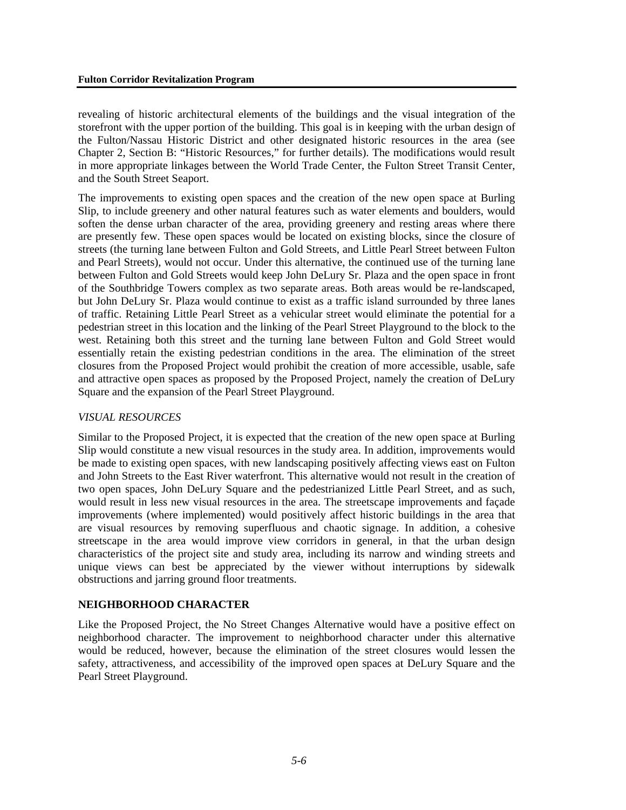revealing of historic architectural elements of the buildings and the visual integration of the storefront with the upper portion of the building. This goal is in keeping with the urban design of the Fulton/Nassau Historic District and other designated historic resources in the area (see Chapter 2, Section B: "Historic Resources," for further details). The modifications would result in more appropriate linkages between the World Trade Center, the Fulton Street Transit Center, and the South Street Seaport.

The improvements to existing open spaces and the creation of the new open space at Burling Slip, to include greenery and other natural features such as water elements and boulders, would soften the dense urban character of the area, providing greenery and resting areas where there are presently few. These open spaces would be located on existing blocks, since the closure of streets (the turning lane between Fulton and Gold Streets, and Little Pearl Street between Fulton and Pearl Streets), would not occur. Under this alternative, the continued use of the turning lane between Fulton and Gold Streets would keep John DeLury Sr. Plaza and the open space in front of the Southbridge Towers complex as two separate areas. Both areas would be re-landscaped, but John DeLury Sr. Plaza would continue to exist as a traffic island surrounded by three lanes of traffic. Retaining Little Pearl Street as a vehicular street would eliminate the potential for a pedestrian street in this location and the linking of the Pearl Street Playground to the block to the west. Retaining both this street and the turning lane between Fulton and Gold Street would essentially retain the existing pedestrian conditions in the area. The elimination of the street closures from the Proposed Project would prohibit the creation of more accessible, usable, safe and attractive open spaces as proposed by the Proposed Project, namely the creation of DeLury Square and the expansion of the Pearl Street Playground.

# *VISUAL RESOURCES*

Similar to the Proposed Project, it is expected that the creation of the new open space at Burling Slip would constitute a new visual resources in the study area. In addition, improvements would be made to existing open spaces, with new landscaping positively affecting views east on Fulton and John Streets to the East River waterfront. This alternative would not result in the creation of two open spaces, John DeLury Square and the pedestrianized Little Pearl Street, and as such, would result in less new visual resources in the area. The streetscape improvements and façade improvements (where implemented) would positively affect historic buildings in the area that are visual resources by removing superfluous and chaotic signage. In addition, a cohesive streetscape in the area would improve view corridors in general, in that the urban design characteristics of the project site and study area, including its narrow and winding streets and unique views can best be appreciated by the viewer without interruptions by sidewalk obstructions and jarring ground floor treatments.

# **NEIGHBORHOOD CHARACTER**

Like the Proposed Project, the No Street Changes Alternative would have a positive effect on neighborhood character. The improvement to neighborhood character under this alternative would be reduced, however, because the elimination of the street closures would lessen the safety, attractiveness, and accessibility of the improved open spaces at DeLury Square and the Pearl Street Playground.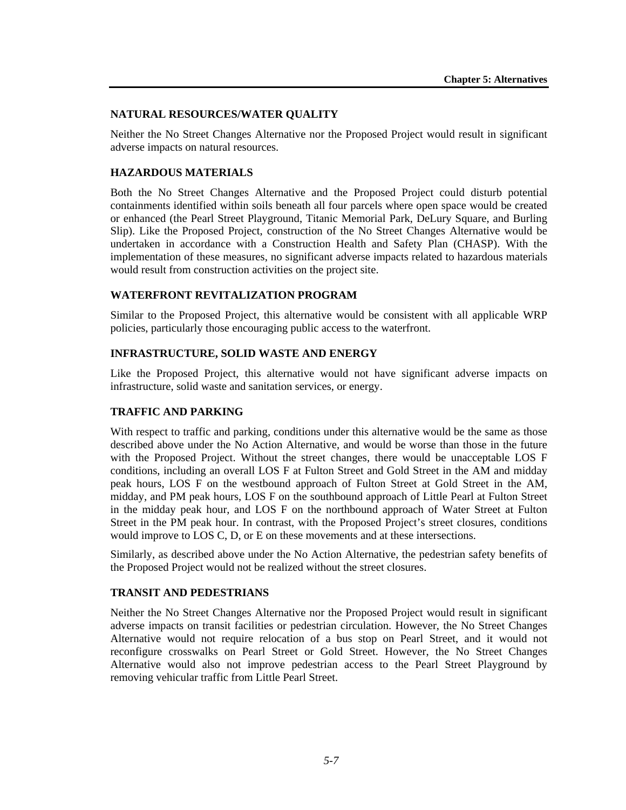## **NATURAL RESOURCES/WATER QUALITY**

Neither the No Street Changes Alternative nor the Proposed Project would result in significant adverse impacts on natural resources.

## **HAZARDOUS MATERIALS**

Both the No Street Changes Alternative and the Proposed Project could disturb potential containments identified within soils beneath all four parcels where open space would be created or enhanced (the Pearl Street Playground, Titanic Memorial Park, DeLury Square, and Burling Slip). Like the Proposed Project, construction of the No Street Changes Alternative would be undertaken in accordance with a Construction Health and Safety Plan (CHASP). With the implementation of these measures, no significant adverse impacts related to hazardous materials would result from construction activities on the project site.

# **WATERFRONT REVITALIZATION PROGRAM**

Similar to the Proposed Project, this alternative would be consistent with all applicable WRP policies, particularly those encouraging public access to the waterfront.

## **INFRASTRUCTURE, SOLID WASTE AND ENERGY**

Like the Proposed Project, this alternative would not have significant adverse impacts on infrastructure, solid waste and sanitation services, or energy.

### **TRAFFIC AND PARKING**

With respect to traffic and parking, conditions under this alternative would be the same as those described above under the No Action Alternative, and would be worse than those in the future with the Proposed Project. Without the street changes, there would be unacceptable LOS F conditions, including an overall LOS F at Fulton Street and Gold Street in the AM and midday peak hours, LOS F on the westbound approach of Fulton Street at Gold Street in the AM, midday, and PM peak hours, LOS F on the southbound approach of Little Pearl at Fulton Street in the midday peak hour, and LOS F on the northbound approach of Water Street at Fulton Street in the PM peak hour. In contrast, with the Proposed Project's street closures, conditions would improve to LOS C, D, or E on these movements and at these intersections.

Similarly, as described above under the No Action Alternative, the pedestrian safety benefits of the Proposed Project would not be realized without the street closures.

## **TRANSIT AND PEDESTRIANS**

Neither the No Street Changes Alternative nor the Proposed Project would result in significant adverse impacts on transit facilities or pedestrian circulation. However, the No Street Changes Alternative would not require relocation of a bus stop on Pearl Street, and it would not reconfigure crosswalks on Pearl Street or Gold Street. However, the No Street Changes Alternative would also not improve pedestrian access to the Pearl Street Playground by removing vehicular traffic from Little Pearl Street.